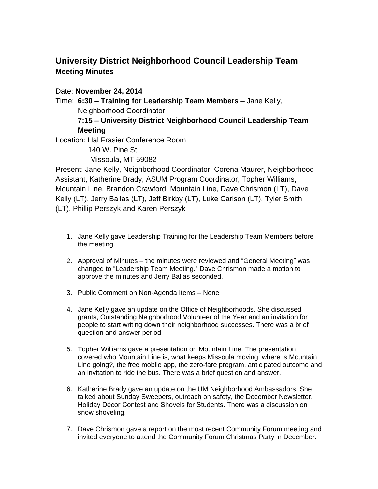## **University District Neighborhood Council Leadership Team Meeting Minutes**

Date: **November 24, 2014**

Time: **6:30 – Training for Leadership Team Members** – Jane Kelly, Neighborhood Coordinator

## **7:15 – University District Neighborhood Council Leadership Team Meeting**

Location: Hal Frasier Conference Room

140 W. Pine St.

Missoula, MT 59082

Present: Jane Kelly, Neighborhood Coordinator, Corena Maurer, Neighborhood Assistant, Katherine Brady, ASUM Program Coordinator, Topher Williams, Mountain Line, Brandon Crawford, Mountain Line, Dave Chrismon (LT), Dave Kelly (LT), Jerry Ballas (LT), Jeff Birkby (LT), Luke Carlson (LT), Tyler Smith (LT), Phillip Perszyk and Karen Perszyk

\_\_\_\_\_\_\_\_\_\_\_\_\_\_\_\_\_\_\_\_\_\_\_\_\_\_\_\_\_\_\_\_\_\_\_\_\_\_\_\_\_\_\_\_\_\_\_\_\_\_\_\_\_\_\_\_\_\_\_\_\_\_\_\_

- 1. Jane Kelly gave Leadership Training for the Leadership Team Members before the meeting.
- 2. Approval of Minutes the minutes were reviewed and "General Meeting" was changed to "Leadership Team Meeting." Dave Chrismon made a motion to approve the minutes and Jerry Ballas seconded.
- 3. Public Comment on Non-Agenda Items None
- 4. Jane Kelly gave an update on the Office of Neighborhoods. She discussed grants, Outstanding Neighborhood Volunteer of the Year and an invitation for people to start writing down their neighborhood successes. There was a brief question and answer period
- 5. Topher Williams gave a presentation on Mountain Line. The presentation covered who Mountain Line is, what keeps Missoula moving, where is Mountain Line going?, the free mobile app, the zero-fare program, anticipated outcome and an invitation to ride the bus. There was a brief question and answer.
- 6. Katherine Brady gave an update on the UM Neighborhood Ambassadors. She talked about Sunday Sweepers, outreach on safety, the December Newsletter, Holiday Décor Contest and Shovels for Students. There was a discussion on snow shoveling.
- 7. Dave Chrismon gave a report on the most recent Community Forum meeting and invited everyone to attend the Community Forum Christmas Party in December.